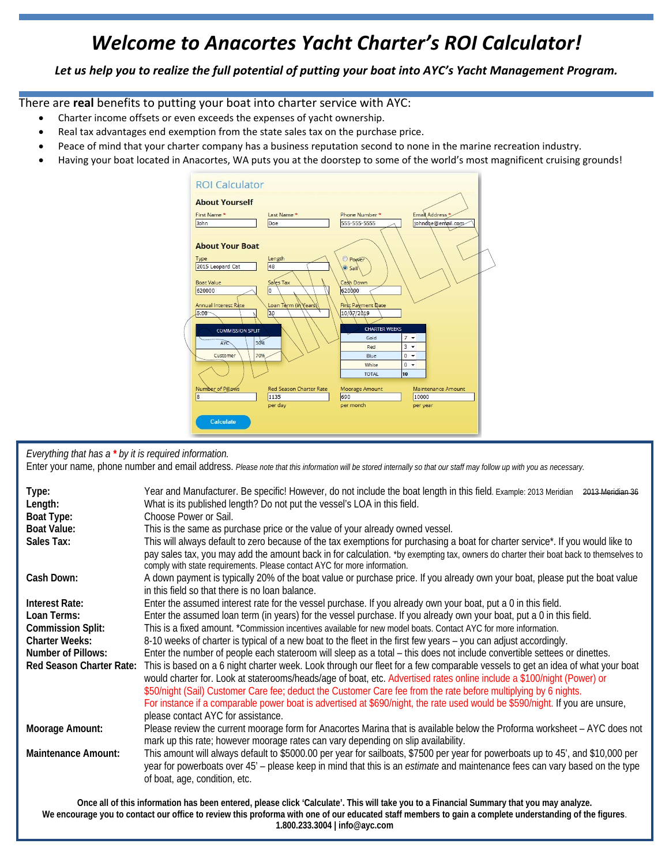## *Welcome to Anacortes Yacht Charter's ROI Calculator!*

Let us help you to realize the full potential of putting your boat into AYC's Yacht Management Program.

There are **real** benefits to putting your boat into charter service with AYC:

- Charter income offsets or even exceeds the expenses of yacht ownership.
- Real tax advantages end exemption from the state sales tax on the purchase price.
- Peace of mind that your charter company has a business reputation second to none in the marine recreation industry.
- Having your boat located in Anacortes, WA puts you at the doorstep to some of the world's most magnificent cruising grounds!



*Everything that has a \* by it is required information.* 

Enter your name, phone number and email address. *Please note that this information will be stored internally so that our staff may follow up with you as necessary.*

| Type:<br>Length:<br>Boat Type:<br><b>Boat Value:</b> | Year and Manufacturer. Be specific! However, do not include the boat length in this field. Example: 2013 Meridian 2013 Meridian 36<br>What is its published length? Do not put the vessel's LOA in this field.<br>Choose Power or Sail.<br>This is the same as purchase price or the value of your already owned vessel.                                                                                                                                                                                                                         |  |  |  |  |
|------------------------------------------------------|--------------------------------------------------------------------------------------------------------------------------------------------------------------------------------------------------------------------------------------------------------------------------------------------------------------------------------------------------------------------------------------------------------------------------------------------------------------------------------------------------------------------------------------------------|--|--|--|--|
| Sales Tax:                                           | This will always default to zero because of the tax exemptions for purchasing a boat for charter service*. If you would like to<br>pay sales tax, you may add the amount back in for calculation. *by exempting tax, owners do charter their boat back to themselves to<br>comply with state requirements. Please contact AYC for more information.                                                                                                                                                                                              |  |  |  |  |
| Cash Down:                                           | A down payment is typically 20% of the boat value or purchase price. If you already own your boat, please put the boat value<br>in this field so that there is no loan balance.                                                                                                                                                                                                                                                                                                                                                                  |  |  |  |  |
| Interest Rate:                                       | Enter the assumed interest rate for the vessel purchase. If you already own your boat, put a 0 in this field.                                                                                                                                                                                                                                                                                                                                                                                                                                    |  |  |  |  |
| Loan Terms:                                          | Enter the assumed loan term (in years) for the vessel purchase. If you already own your boat, put a 0 in this field.                                                                                                                                                                                                                                                                                                                                                                                                                             |  |  |  |  |
| <b>Commission Split:</b>                             | This is a fixed amount. *Commission incentives available for new model boats. Contact AYC for more information.                                                                                                                                                                                                                                                                                                                                                                                                                                  |  |  |  |  |
| <b>Charter Weeks:</b>                                | 8-10 weeks of charter is typical of a new boat to the fleet in the first few years – you can adjust accordingly.                                                                                                                                                                                                                                                                                                                                                                                                                                 |  |  |  |  |
| <b>Number of Pillows:</b>                            | Enter the number of people each stateroom will sleep as a total – this does not include convertible settees or dinettes.                                                                                                                                                                                                                                                                                                                                                                                                                         |  |  |  |  |
| <b>Red Season Charter Rate:</b>                      | This is based on a 6 night charter week. Look through our fleet for a few comparable vessels to get an idea of what your boat<br>would charter for. Look at staterooms/heads/age of boat, etc. Advertised rates online include a \$100/night (Power) or<br>\$50/night (Sail) Customer Care fee; deduct the Customer Care fee from the rate before multiplying by 6 nights.<br>For instance if a comparable power boat is advertised at \$690/night, the rate used would be \$590/night. If you are unsure,<br>please contact AYC for assistance. |  |  |  |  |
| <b>Moorage Amount:</b>                               | Please review the current moorage form for Anacortes Marina that is available below the Proforma worksheet - AYC does not<br>mark up this rate; however moorage rates can vary depending on slip availability.                                                                                                                                                                                                                                                                                                                                   |  |  |  |  |
| <b>Maintenance Amount:</b>                           | This amount will always default to \$5000.00 per year for sailboats, \$7500 per year for powerboats up to 45', and \$10,000 per<br>year for powerboats over 45' - please keep in mind that this is an <i>estimate</i> and maintenance fees can vary based on the type<br>of boat, age, condition, etc.                                                                                                                                                                                                                                           |  |  |  |  |

**Once all of this information has been entered, please click 'Calculate'. This will take you to a Financial Summary that you may analyze. We encourage you to contact our office to review this proforma with one of our educated staff members to gain a complete understanding of the figures**. **1.800.233.3004 | info@ayc.com**